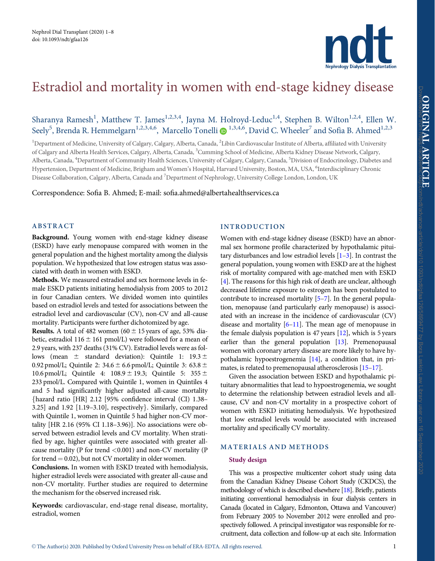

# <span id="page-0-0"></span>Estradiol and mortality in women with end-stage kidney disease

Sharanya Ramesh<sup>1</sup>, Matthew T. James<sup>1,2,3,4</sup>, Jayna M. Holroyd-Leduc<sup>1,4</sup>, Stephen B. Wilton<sup>1,2,4</sup>, Ellen W. Seely<sup>5</sup>, Brenda R. Hemmelgarn<sup>1,2,3,4,6</sup>, Marcello Tonelli @ <sup>1,3,4,6</sup>, David C. Wheeler<sup>7</sup> and Sofia B. Ahmed<sup>1,2,3</sup>

<sup>1</sup>Department of Medicine, University of Calgary, Calgary, Alberta, Canada, <sup>2</sup>Libin Cardiovascular Institute of Alberta, affiliated with University of Calgary and Alberta Health Services, Calgary, Alberta, Canada, <sup>3</sup>Cumming School of Medicine, Alberta Kidney Disease Network, Calgary, Alberta, Canada, <sup>4</sup>Department of Community Health Sciences, University of Calgary, Calgary, Canada, <sup>5</sup>Division of Endocrinology, Diabetes and Hypertension, Department of Medicine, Brigham and Women's Hospital, Harvard University, Boston, MA, USA, <sup>6</sup>Interdisciplinary Chronic Disease Collaboration, Calgary, Alberta, Canada and <sup>7</sup>Department of Nephrology, University College London, London, UK

Correspondence: Sofia B. Ahmed; E-mail: sofia.ahmed@albertahealthservices.ca

## ABSTRACT

Background. Young women with end-stage kidney disease (ESKD) have early menopause compared with women in the general population and the highest mortality among the dialysis population. We hypothesized that low estrogen status was associated with death in women with ESKD.

Methods. We measured estradiol and sex hormone levels in female ESKD patients initiating hemodialysis from 2005 to 2012 in four Canadian centers. We divided women into quintiles based on estradiol levels and tested for associations between the estradiol level and cardiovascular (CV), non-CV and all-cause mortality. Participants were further dichotomized by age.

**Results.** A total of 482 women (60  $\pm$  15 years of age, 53% diabetic, estradiol 116  $\pm$  161 pmol/L) were followed for a mean of 2.9 years, with 237 deaths (31% CV). Estradiol levels were as follows (mean  $\pm$  standard deviation): Quintile 1: 19.3  $\pm$ 0.92 pmol/L; Quintile 2:  $34.6 \pm 6.6$  pmol/L; Quintile 3:  $63.8 \pm$ 10.6 pmol/L; Quintile 4:  $108.9 \pm 19.3$ ; Quintile 5:  $355 \pm$ 233 pmol/L. Compared with Quintile 1, women in Quintiles 4 and 5 had significantly higher adjusted all-cause mortality fhazard ratio [HR] 2.12 [95% confidence interval (CI) 1.38– 3.25] and  $1.92$  [1.19-3.10], respectively}. Similarly, compared with Quintile 1, women in Quintile 5 had higher non-CV mortality [HR 2.16 (95% CI 1.18–3.96)]. No associations were observed between estradiol levels and CV mortality. When stratified by age, higher quintiles were associated with greater allcause mortality (P for trend  $< 0.001$ ) and non-CV mortality (P for trend  $= 0.02$ ), but not CV mortality in older women.

Conclusions. In women with ESKD treated with hemodialysis, higher estradiol levels were associated with greater all-cause and non-CV mortality. Further studies are required to determine the mechanism for the observed increased risk.

Keywords: cardiovascular, end-stage renal disease, mortality, estradiol, women

## INTRODUCTION

Women with end-stage kidney disease (ESKD) have an abnormal sex hormone profile characterized by hypothalamic pituitary disturbances and low estradiol levels  $[1-3]$ . In contrast the general population, young women with ESKD are at the highest risk of mortality compared with age-matched men with ESKD [[4\]](#page-6-0). The reasons for this high risk of death are unclear, although decreased lifetime exposure to estrogen has been postulated to contribute to increased mortality [[5–7](#page-6-0)]. In the general population, menopause (and particularly early menopause) is associated with an increase in the incidence of cardiovascular (CV) disease and mortality  $[6-11]$ . The mean age of menopause in the female dialysis population is 47 years [\[12](#page-6-0)], which is 5 years earlier than the general population [\[13\]](#page-6-0). Premenopausal women with coronary artery disease are more likely to have hypothalamic hypoestrogenemia [[14\]](#page-6-0), a condition that, in primates, is related to premenopausal atherosclerosis [\[15–17](#page-6-0)].

Given the association between ESKD and hypothalamic pituitary abnormalities that lead to hypoestrogenemia, we sought to determine the relationship between estradiol levels and allcause, CV and non-CV mortality in a prospective cohort of women with ESKD initiating hemodialysis. We hypothesized that low estradiol levels would be associated with increased mortality and specifically CV mortality.

## MATERIALS AND METHODS

## Study design

This was a prospective multicenter cohort study using data from the Canadian Kidney Disease Cohort Study (CKDCS), the methodology of which is described elsewhere [[18\]](#page-6-0). Briefly, patients initiating conventional hemodialysis in four dialysis centers in Canada (located in Calgary, Edmonton, Ottawa and Vancouver) from February 2005 to November 2012 were enrolled and prospectively followed. A principal investigator was responsible for recruitment, data collection and follow-up at each site. Information ORIGINAL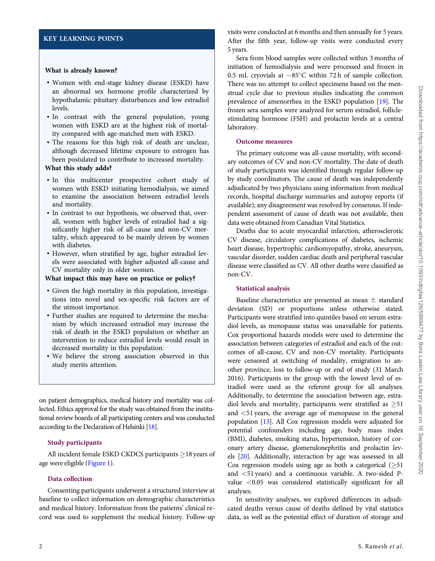# <span id="page-1-0"></span>KEY LEARNING POINTS

#### What is already known?

- Women with end-stage kidney disease (ESKD) have an abnormal sex hormone profile characterized by hypothalamic pituitary disturbances and low estradiol levels.
- In contrast with the general population, young women with ESKD are at the highest risk of mortality compared with age-matched men with ESKD.
- The reasons for this high risk of death are unclear, although decreased lifetime exposure to estrogen has been postulated to contribute to increased mortality.

#### What this study adds?

- In this multicenter prospective cohort study of women with ESKD initiating hemodialysis, we aimed to examine the association between estradiol levels and mortality.
- In contrast to our hypothesis, we observed that, overall, women with higher levels of estradiol had a significantly higher risk of all-cause and non-CV mortality, which appeared to be mainly driven by women with diabetes.
- However, when stratified by age, higher estradiol levels were associated with higher adjusted all-cause and CV mortality only in older women.

## What impact this may have on practice or policy?

- Given the high mortality in this population, investigations into novel and sex-specific risk factors are of the utmost importance.
- Further studies are required to determine the mechanism by which increased estradiol may increase the risk of death in the ESKD population or whether an intervention to reduce estradiol levels would result in decreased mortality in this population.
- We believe the strong association observed in this study merits attention.

on patient demographics, medical history and mortality was collected. Ethics approval for the study was obtained from the institutional review boards of all participating centers and was conducted according to the Declaration of Helsinki [[18\]](#page-6-0).

## Study participants

All incident female ESKD CKDCS participants  $\geq$  18 years of age were eligible ([Figure 1](#page-2-0)).

## Data collection

Consenting participants underwent a structured interview at baseline to collect information on demographic characteristics and medical history. Information from the patients' clinical record was used to supplement the medical history. Follow-up

visits were conducted at 6 months and then annually for 5 years. After the fifth year, follow-up visits were conducted every 5 years.

Sera from blood samples were collected within 3 months of initiation of hemodialysis and were processed and frozen in 0.5 mL cryovials at  $-85^{\circ}$ C within 72 h of sample collection. There was no attempt to collect specimens based on the menstrual cycle due to previous studies indicating the common prevalence of amenorrhea in the ESKD population [[19](#page-6-0)]. The frozen sera samples were analyzed for serum estradiol, folliclestimulating hormone (FSH) and prolactin levels at a central laboratory.

#### Outcome measures

The primary outcome was all-cause mortality, with secondary outcomes of CV and non-CV mortality. The date of death of study participants was identified through regular follow-up by study coordinators. The cause of death was independently adjudicated by two physicians using information from medical records, hospital discharge summaries and autopsy reports (if available); any disagreement was resolved by consensus. If independent assessment of cause of death was not available, then data were obtained from Canadian Vital Statistics.

Deaths due to acute myocardial infarction, atherosclerotic CV disease, circulatory complications of diabetes, ischemic heart disease, hypertrophic cardiomyopathy, stroke, aneurysm, vascular disorder, sudden cardiac death and peripheral vascular disease were classified as CV. All other deaths were classified as non-CV.

#### Statistical analysis

Baseline characteristics are presented as mean  $\pm$  standard deviation (SD) or proportions unless otherwise stated. Participants were stratified into quintiles based on serum estradiol levels, as menopause status was unavailable for patients. Cox proportional hazards models were used to determine the association between categories of estradiol and each of the outcomes of all-cause, CV and non-CV mortality. Participants were censored at switching of modality, emigration to another province, loss to follow-up or end of study (31 March 2016). Participants in the group with the lowest level of estradiol were used as the referent group for all analyses. Additionally, to determine the association between age, estradiol levels and mortality, participants were stratified as  $\geq 51$ and <51 years, the average age of menopause in the general population [\[13\]](#page-6-0). All Cox regression models were adjusted for potential confounders including age, body mass index (BMI), diabetes, smoking status, hypertension, history of coronary artery disease, glomerulonephritis and prolactin levels [\[20\]](#page-6-0). Additionally, interaction by age was assessed in all Cox regression models using age as both a categorical  $(\geq 51)$ and <51 years) and a continuous variable. A two-sided Pvalue <0.05 was considered statistically significant for all analyses.

In sensitivity analyses, we explored differences in adjudicated deaths versus cause of deaths defined by vital statistics data, as well as the potential effect of duration of storage and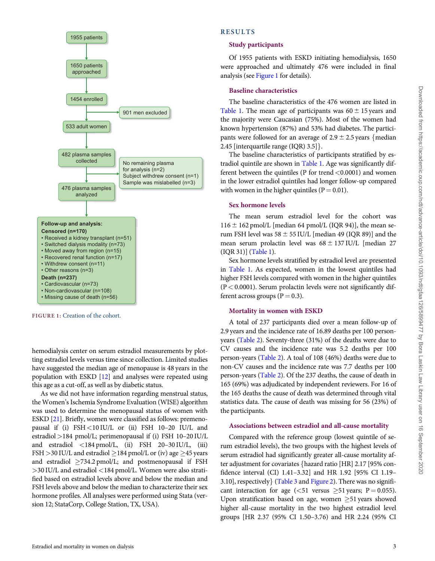

<span id="page-2-0"></span>

hemodialysis center on serum estradiol measurements by plotting estradiol levels versus time since collection. Limited studies have suggested the median age of menopause is 48 years in the population with ESKD [[12](#page-6-0)] and analyses were repeated using this age as a cut-off, as well as by diabetic status.

As we did not have information regarding menstrual status, the Women's Ischemia Syndrome Evaluation (WISE) algorithm was used to determine the menopausal status of women with ESKD [[21](#page-6-0)]. Briefly, women were classified as follows: premenopausal if (i)  $FSH < 10$  IU/L or (ii) FSH 10–20 IU/L and estradiol >184 pmol/L; perimenopausal if (i) FSH 10–20 IU/L and estradiol <184 pmol/L, (ii) FSH 20–30 IU/L, (iii) FSH > 30 IU/L and estradiol  $\geq$  184 pmol/L or (iv) age  $\geq$  45 years and estradiol  $\geq$ 734.2 pmol/L; and postmenopausal if FSH >30 IU/L and estradiol <184 pmol/L. Women were also stratified based on estradiol levels above and below the median and FSH levels above and below the median to characterize their sex hormone profiles. All analyses were performed using Stata (version 12; StataCorp, College Station, TX, USA).

## RESULTS

#### Study participants

Of 1955 patients with ESKD initiating hemodialysis, 1650 were approached and ultimately 476 were included in final analysis (see Figure 1 for details).

## Baseline characteristics

The baseline characteristics of the 476 women are listed in [Table 1.](#page-4-0) The mean age of participants was  $60 \pm 15$  years and the majority were Caucasian (75%). Most of the women had known hypertension (87%) and 53% had diabetes. The participants were followed for an average of  $2.9 \pm 2.5$  years {median 2.45 [interquartile range (IQR)  $3.5$ ].

The baseline characteristics of participants stratified by estradiol quintile are shown in [Table 1](#page-4-0). Age was significantly different between the quintiles ( $P$  for trend  $\lt$  0.0001) and women in the lower estradiol quintiles had longer follow-up compared with women in the higher quintiles ( $P = 0.01$ ).

#### Sex hormone levels

The mean serum estradiol level for the cohort was  $116 \pm 162$  pmol/L [median 64 pmol/L (IQR 94)], the mean serum FSH level was  $58 \pm 55$  IU/L [median 49 (IQR 89)] and the mean serum prolactin level was  $68 \pm 137$  IU/L [median 27 (IQR 31)] [\(Table 1\)](#page-4-0).

Sex hormone levels stratified by estradiol level are presented in [Table 1](#page-4-0). As expected, women in the lowest quintiles had higher FSH levels compared with women in the higher quintiles  $(P < 0.0001)$ . Serum prolactin levels were not significantly different across groups ( $P = 0.3$ ).

## Mortality in women with ESKD

A total of 237 participants died over a mean follow-up of 2.9 years and the incidence rate of 16.89 deaths per 100 personyears ([Table 2](#page-4-0)). Seventy-three (31%) of the deaths were due to CV causes and the incidence rate was 5.2 deaths per 100 person-years ([Table 2\)](#page-4-0). A toal of 108 (46%) deaths were due to non-CV causes and the incidence rate was 7.7 deaths per 100 person-years [\(Table 2](#page-4-0)). Of the 237 deaths, the cause of death in 165 (69%) was adjudicated by independent reviewers. For 16 of the 165 deaths the cause of death was determined through vital statistics data. The cause of death was missing for 56 (23%) of the participants.

## Associations between estradiol and all-cause mortality

Compared with the reference group (lowest quintile of serum estradiol levels), the two groups with the highest levels of serum estradiol had significantly greater all-cause mortality after adjustment for covariates fhazard ratio [HR] 2.17 [95% confidence interval (CI) 1.41–3.32] and HR 1.92 [95% CI 1.19– 3.10], respectively  $\{Table 3 and Figure 2\}$  $\{Table 3 and Figure 2\}$  $\{Table 3 and Figure 2\}$ . There was no significant interaction for age (<51 versus  $\geq$ 51 years; P = 0.055). Upon stratification based on age, women  $\geq$ 51 years showed higher all-cause mortality in the two highest estradiol level groups [HR 2.37 (95% CI 1.50–3.76) and HR 2.24 (95% CI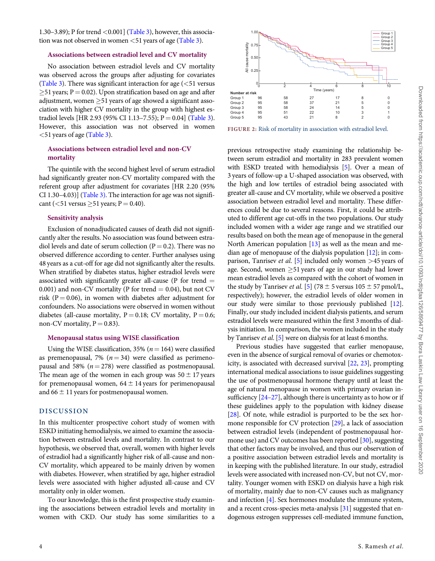<span id="page-3-0"></span>1.30–3.89); P for trend <0.001] ([Table 3](#page-5-0)), however, this association was not observed in women  $\leq 51$  years of age [\(Table 3\)](#page-5-0).

#### Associations between estradiol level and CV mortality

No association between estradiol levels and CV mortality was observed across the groups after adjusting for covariates [\(Table 3](#page-5-0)). There was significant interaction for age  $(<51$  versus  $\geq$ 51 years; P = 0.02). Upon stratification based on age and after adjustment, women  $\geq$ 51 years of age showed a significant association with higher CV mortality in the group with highest es-tradiol levels [HR 2.93 (95% CI 1.13–7.55); P = 0.04] [\(Table 3\)](#page-5-0). However, this association was not observed in women <51 years of age [\(Table 3\)](#page-5-0).

## Associations between estradiol level and non-CV mortality

The quintile with the second highest level of serum estradiol had significantly greater non-CV mortality compared with the referent group after adjustment for covariates [HR 2.20 (95% CI 1.30–4.03)] ([Table 3\)](#page-5-0). The interaction for age was not significant ( $<$  51 versus  $\geq$  51 years; P = 0.40).

#### Sensitivity analysis

Exclusion of nonadjudicated causes of death did not significantly alter the results. No association was found between estradiol levels and date of serum collection ( $P = 0.2$ ). There was no observed difference according to center. Further analyses using 48 years as a cut-off for age did not significantly alter the results. When stratified by diabetes status, higher estradiol levels were associated with significantly greater all-cause (P for trend  $=$ 0.001) and non-CV mortality (P for trend  $= 0.04$ ), but not CV risk ( $P = 0.06$ ), in women with diabetes after adjustment for confounders. No associations were observed in women without diabetes (all-cause mortality,  $P = 0.18$ ; CV mortality,  $P = 0.6$ ; non-CV mortality,  $P = 0.83$ ).

## Menopausal status using WISE classification

Using the WISE classification, 35% ( $n = 164$ ) were classified as premenopausal, 7% ( $n = 34$ ) were classified as perimenopausal and 58% ( $n = 278$ ) were classified as postmenopausal. The mean age of the women in each group was  $50 \pm 17$  years for premenopausal women,  $64 \pm 14$  years for perimenopausal and  $66 \pm 11$  years for postmenopausal women.

## DISCUSSION

In this multicenter prospective cohort study of women with ESKD initiating hemodialysis, we aimed to examine the association between estradiol levels and mortality. In contrast to our hypothesis, we observed that, overall, women with higher levels of estradiol had a significantly higher risk of all-cause and non-CV mortality, which appeared to be mainly driven by women with diabetes. However, when stratified by age, higher estradiol levels were associated with higher adjusted all-cause and CV mortality only in older women.

To our knowledge, this is the first prospective study examining the associations between estradiol levels and mortality in women with CKD. Our study has some similarities to a



FIGURE 2: Risk of mortality in association with estradiol level.

previous retrospective study examining the relationship between serum estradiol and mortality in 283 prevalent women with ESKD treated with hemodialysis [[5\]](#page-6-0). Over a mean of 3 years of follow-up a U-shaped association was observed, with the high and low tertiles of estradiol being associated with greater all-cause and CV mortality, while we observed a positive association between estradiol level and mortality. These differences could be due to several reasons. First, it could be attributed to different age cut-offs in the two populations. Our study included women with a wider age range and we stratified our results based on both the mean age of menopause in the general North American population [\[13\]](#page-6-0) as well as the mean and median age of menopause of the dialysis population [\[12\]](#page-6-0); in comparison, Tanrisev *et al.* [[5](#page-6-0)] included only women  $>45$  years of age. Second, women  $\geq 51$  years of age in our study had lower mean estradiol levels as compared with the cohort of women in the study by Tanrisev *et al.* [[5](#page-6-0)] (78  $\pm$  5 versus 105  $\pm$  57 pmol/L, respectively); however, the estradiol levels of older women in our study were similar to those previously published [\[12](#page-6-0)]. Finally, our study included incident dialysis patients, and serum estradiol levels were measured within the first 3 months of dialysis initiation. In comparison, the women included in the study by Tanrisev et al. [[5](#page-6-0)] were on dialysis for at least 6 months.

Previous studies have suggested that earlier menopause, even in the absence of surgical removal of ovaries or chemotoxicity, is associated with decreased survival [\[22](#page-6-0), [23](#page-6-0)], prompting international medical associations to issue guidelines suggesting the use of postmenopausal hormone therapy until at least the age of natural menopause in women with primary ovarian insufficiency  $[24-27]$ , although there is uncertainty as to how or if these guidelines apply to the population with kidney disease [[28](#page-6-0)]. Of note, while estradiol is purported to be the sex hormone responsible for CV protection [\[29\]](#page-6-0), a lack of association between estradiol levels (independent of postmenopausal hormone use) and CV outcomes has been reported [\[30\]](#page-6-0), suggesting that other factors may be involved, and thus our observation of a positive association between estradiol levels and mortality is in keeping with the published literature. In our study, estradiol levels were associated with increased non-CV, but not CV, mortality. Younger women with ESKD on dialysis have a high risk of mortality, mainly due to non-CV causes such as malignancy and infection [\[4\]](#page-6-0). Sex hormones modulate the immune system, and a recent cross-species meta-analysis [\[31\]](#page-6-0) suggested that endogenous estrogen suppresses cell-mediated immune function,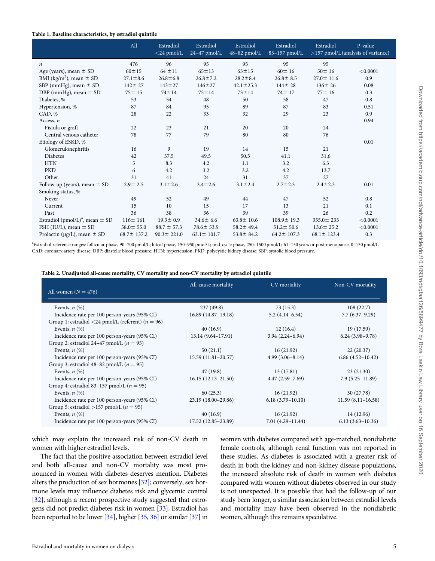#### <span id="page-4-0"></span>Table 1. Baseline characteristics, by estradiol quintile

|                                                 | All              | Estradiol<br>$<$ 24 pmol/L | Estradiol<br>$24-47$ pmol/L | Estradiol<br>$48-82$ pmol/L | Estradiol<br>83-157 pmol/L | Estradiol        | P-value<br>>157 pmol/L (analysis of variance) |
|-------------------------------------------------|------------------|----------------------------|-----------------------------|-----------------------------|----------------------------|------------------|-----------------------------------------------|
| n                                               | 476              | 96                         | 95                          | 95                          | 95                         | 95               |                                               |
| Age (years), mean $\pm$ SD                      | $60 + 15$        | $64 \pm 11$                | $65 \pm 13$                 | $63 + 15$                   | $60 \pm 16$                | $50 \pm 16$      | < 0.0001                                      |
| BMI (kg/m <sup>2</sup> ), mean $\pm$ SD         | $27.1 \pm 8.6$   | $26.8 \pm 6.8$             | $26.8 \pm 7.2$              | $28.2 \pm 8.4$              | $26.8 \pm 8.5$             | $27.0 \pm 11.6$  | 0.9                                           |
| SBP (mmHg), mean $\pm$ SD                       | $142 \pm 27$     | $143 \pm 27$               | $146 + 27$                  | $42.1 \pm 25.3$             | $144 \pm 28$               | $136 \pm 26$     | 0.08                                          |
| DBP (mmHg), mean $\pm$ SD                       | $75 \pm 15$      | $74 + 14$                  | $75 \pm 14$                 | $73 + 14$                   | 74 ± 17                    | $77 \pm 16$      | 0.3                                           |
| Diabetes, %                                     | 53               | 54                         | 48                          | 50                          | 58                         | 47               | 0.8                                           |
| Hypertension, %                                 | 87               | 84                         | 95                          | 89                          | 87                         | 83               | 0.51                                          |
| CAD, %                                          | 28               | 22                         | 33                          | 32                          | 29                         | 23               | 0.9                                           |
| Access, $n$                                     |                  |                            |                             |                             |                            |                  | 0.94                                          |
| Fistula or graft                                | 22               | 23                         | 21                          | 20                          | 20                         | 24               |                                               |
| Central venous catheter                         | 78               | 77                         | 79                          | 80                          | 80                         | 76               |                                               |
| Etiology of ESKD, %                             |                  |                            |                             |                             |                            |                  | 0.01                                          |
| Glomerulonephritis                              | 16               | 9                          | 19                          | 14                          | 15                         | 21               |                                               |
| Diabetes                                        | 42               | 37.5                       | 49.5                        | 50.5                        | 41.1                       | 31.6             |                                               |
| <b>HTN</b>                                      | 5                | 8.3                        | 4.2                         | 1.1                         | 3.2                        | 6.3              |                                               |
| <b>PKD</b>                                      | 6                | 4.2                        | 3.2                         | 3.2                         | 4.2                        | 13.7             |                                               |
| Other                                           | 31               | 41                         | 24                          | 31                          | 37                         | 27               |                                               |
| Follow-up (years), mean $\pm$ SD                | $2.9 \pm 2.5$    | $3.1 \pm 2.6$              | $3.4 \pm 2.6$               | $3.1 \pm 2.4$               | $2.7 \pm 2.3$              | $2.4 \pm 2.3$    | 0.01                                          |
| Smoking status, %                               |                  |                            |                             |                             |                            |                  |                                               |
| Never                                           | 49               | 52                         | 49                          | 44                          | 47                         | 52               | 0.8                                           |
| Current                                         | 15               | 10                         | 15                          | 17                          | 13                         | 21               | 0.1                                           |
| Past                                            | 36               | 38                         | 36                          | 39                          | 39                         | 26               | 0.2                                           |
| Estradiol (pmol/L) <sup>a</sup> , mean $\pm$ SD | $116 \pm 161$    | $19.3 \pm 0.9$             | $34.6 \pm 6.6$              | $63.8 \pm 10.6$             | $108.9 \pm 19.3$           | $355.0 \pm 233$  | < 0.0001                                      |
| FSH (IU/L), mean $\pm$ SD                       | $58.0 \pm 55.0$  | $88.7 \pm 57.3$            | $78.6 \pm 53.9$             | $58.2 \pm 49.4$             | $51.2 \pm 50.6$            | $13.6 \pm 25.2$  | < 0.0001                                      |
| Prolactin ( $\mu$ g/L), mean $\pm$ SD           | $68.7 \pm 137.2$ | $90.3 \pm 221.0$           | $63.1 \pm 101.7$            | $53.8 \pm 84.2$             | $64.2 \pm 107.3$           | $68.1 \pm 123.4$ | 0.3                                           |

a Estradiol reference ranges: follicular phase, 90–700 pmol/L; luteal phase, 150–950 pmol/L; mid-cycle phase, 250–1500 pmol/L; 61–150 years or post-menopause, 0–150 pmol/L. CAD: coronary artery disease; DBP: diastolic blood pressure; HTN: hypertension; PKD: polycystic kidney disease; SBP: systolic blood pressure.

|                                                       | All-cause mortality    | CV mortality        | Non-CV mortality     |
|-------------------------------------------------------|------------------------|---------------------|----------------------|
| All women $(N = 476)$                                 |                        |                     |                      |
|                                                       |                        |                     |                      |
| Events, $n$ $(\%)$                                    | 237(49.8)              | 73(15.3)            | 108(22.7)            |
| Incidence rate per 100 person-years (95% CI)          | $16.89(14.87-19.18)$   | $5.2(4.14-6.54)$    | $7.7(6.37-9.29)$     |
| Group 1: estradiol <24 pmol/L (referent) ( $n = 96$ ) |                        |                     |                      |
| Events, $n$ $(\%)$                                    | 40(16.9)               | 12(16.4)            | 19 (17.59)           |
| Incidence rate per 100 person-years (95% CI)          | $13.14(9.64 - 17.91)$  | $3.94(2.24 - 6.94)$ | $6.24(3.98-9.78)$    |
| Group 2: estradiol 24–47 pmol/L ( $n = 95$ )          |                        |                     |                      |
| Events, $n$ $(\%)$                                    | 50(21.1)               | 16(21.92)           | 22(20.37)            |
| Incidence rate per 100 person-years (95% CI)          | $15.59(11.81 - 20.57)$ | $4.99(3.06 - 8.14)$ | $6.86(4.52 - 10.42)$ |
| Group 3: estradiol 48–82 pmol/L ( $n = 95$ )          |                        |                     |                      |
| Events, $n$ $(\%)$                                    | 47(19.8)               | 13(17.81)           | 23(21.30)            |
| Incidence rate per 100 person-years (95% CI)          | $16.15(12.13-21.50)$   | $4.47(2.59 - 7.69)$ | $7.9(5.25 - 11.89)$  |
| Group 4: estradiol 83–157 pmol/L $(n = 95)$           |                        |                     |                      |
| Events, $n$ $(\%)$                                    | 60(25.3)               | 16(21.92)           | 30 (27.78)           |
| Incidence rate per 100 person-years (95% CI)          | 23.19 (18.00–29.86)    | $6.18(3.79-10.10)$  | $11.59(8.11-16.58)$  |
| Group 5: estradiol >157 pmol/L ( $n = 95$ )           |                        |                     |                      |
| Events, $n$ $(\%)$                                    | 40(16.9)               | 16(21.92)           | 14 (12.96)           |
| Incidence rate per 100 person-years (95% CI)          | 17.52 (12.85–23.89)    | $7.01(4.29-11.44)$  | $6.13(3.63 - 10.36)$ |

which may explain the increased risk of non-CV death in women with higher estradiol levels.

The fact that the positive association between estradiol level and both all-cause and non-CV mortality was most pronounced in women with diabetes deserves mention. Diabetes alters the production of sex hormones [\[32\]](#page-6-0); conversely, sex hormone levels may influence diabetes risk and glycemic control [\[32\]](#page-6-0), although a recent prospective study suggested that estrogens did not predict diabetes risk in women [\[33\]](#page-6-0). Estradiol has been reported to be lower [[34](#page-6-0)], higher [[35](#page-6-0), [36\]](#page-6-0) or similar [[37](#page-6-0)] in

women with diabetes compared with age-matched, nondiabetic female controls, although renal function was not reported in these studies. As diabetes is associated with a greater risk of death in both the kidney and non-kidney disease populations, the increased absolute risk of death in women with diabetes compared with women without diabetes observed in our study is not unexpected. It is possible that had the follow-up of our study been longer, a similar association between estradiol levels and mortality may have been observed in the nondiabetic women, although this remains speculative.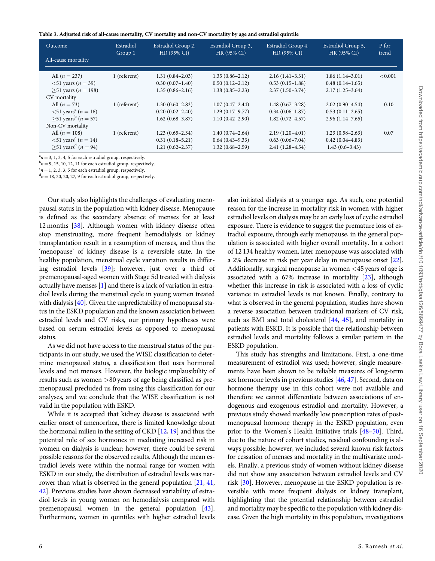<span id="page-5-0"></span>

| Table 3. Adjusted risk of all-cause mortality, CV mortality and non-CV mortality by age and estradiol quintile |  |  |
|----------------------------------------------------------------------------------------------------------------|--|--|
|                                                                                                                |  |  |

| Outcome                                       | Estradiol    | Estradiol Group 2,  | Estradiol Group 3,  | Estradiol Group 4,  | Estradiol Group 5,  | P for   |
|-----------------------------------------------|--------------|---------------------|---------------------|---------------------|---------------------|---------|
| All-cause mortality                           | Group 1      | HR (95% CI)         | HR (95% CI)         | HR (95% CI)         | HR (95% CI)         | trend   |
| All $(n = 237)$                               | 1 (referent) | $1.31(0.84 - 2.03)$ | $1.35(0.86 - 2.12)$ | $2.16(1.41-3.31)$   | $1.86(1.14-3.01)$   | < 0.001 |
| $<$ 51 years ( $n = 39$ )                     |              | $0.30(0.07-1.40)$   | $0.50(0.12 - 2.12)$ | $0.53(0.15-1.88)$   | $0.48(0.14-1.65)$   |         |
| $>51$ years ( <i>n</i> = 198)                 |              | $1.35(0.86 - 2.16)$ | $1.38(0.85 - 2.23)$ | $2.37(1.50-3.74)$   | $2.17(1.25-3.64)$   |         |
| CV mortality                                  |              |                     |                     |                     |                     |         |
| All $(n = 73)$                                | 1 (referent) | $1.30(0.60-2.83)$   | $1.07(0.47 - 2.44)$ | $1.48(0.67-3.28)$   | $2.02(0.90-4.54)$   | 0.10    |
| $< 51$ years <sup>a</sup> ( <i>n</i> = 16)    |              | $0.20(0.02-2.40)$   | $1.29(0.17-9.77)$   | $0.34(0.06 - 1.87)$ | $0.53(0.11-2.65)$   |         |
| $\geq 51$ years <sup>b</sup> ( <i>n</i> = 57) |              | $1.62(0.68 - 3.87)$ | $1.10(0.42 - 2.90)$ | $1.82(0.72 - 4.57)$ | $2.96(1.14 - 7.65)$ |         |
| Non-CV mortality                              |              |                     |                     |                     |                     |         |
| All $(n = 108)$                               | 1 (referent) | $1.23(0.65-2.34)$   | $1.40(0.74 - 2.64)$ | $2.19(1.20-4.01)$   | $1.23(0.58-2.63)$   | 0.07    |
| $< 51$ years <sup>c</sup> ( <i>n</i> = 14)    |              | $0.31(0.18-5.21)$   | $0.64(0.43 - 9.33)$ | $0.63(0.06 - 7.04)$ | $0.42(0.04-4.83)$   |         |
| $\geq 51$ years <sup>d</sup> ( <i>n</i> = 94) |              | $1.21(0.62 - 2.37)$ | $1.32(0.68 - 2.59)$ | $2.41(1.28-4.54)$   | $1.43(0.6-3.43)$    |         |

 $a_n = 3, 1, 3, 4, 5$  for each estradiol group, respectively.

 $b_n = 9$ , 15, 10, 12, 11 for each estradiol group, respectively.

 $c_n = 1, 2, 3, 3, 5$  for each estradiol group, respectively.

 $d_n = 18, 20, 20, 27, 9$  for each estradiol group, respectively.

Our study also highlights the challenges of evaluating menopausal status in the population with kidney disease. Menopause is defined as the secondary absence of menses for at least 12 months [[38](#page-6-0)]. Although women with kidney disease often stop menstruating, more frequent hemodialysis or kidney transplantation result in a resumption of menses, and thus the 'menopause' of kidney disease is a reversible state. In the healthy population, menstrual cycle variation results in differing estradiol levels [[39](#page-6-0)]; however, just over a third of premenopausal-aged women with Stage 5d treated with dialysis actually have menses [[1](#page-6-0)] and there is a lack of variation in estradiol levels during the menstrual cycle in young women treated with dialysis [\[40\]](#page-6-0). Given the unpredictability of menopausal status in the ESKD population and the known association between estradiol levels and CV risks, our primary hypotheses were based on serum estradiol levels as opposed to menopausal status.

As we did not have access to the menstrual status of the participants in our study, we used the WISE classification to determine menopausal status, a classification that uses hormonal levels and not menses. However, the biologic implausibility of results such as women >80 years of age being classified as premenopausal precluded us from using this classification for our analyses, and we conclude that the WISE classification is not valid in the population with ESKD.

While it is accepted that kidney disease is associated with earlier onset of amenorrhea, there is limited knowledge about the hormonal milieu in the setting of CKD [[12,](#page-6-0) [19\]](#page-6-0) and thus the potential role of sex hormones in mediating increased risk in women on dialysis is unclear; however, there could be several possible reasons for the observed results. Although the mean estradiol levels were within the normal range for women with ESKD in our study, the distribution of estradiol levels was narrower than what is observed in the general population [\[21,](#page-6-0) [41](#page-7-0), [42](#page-7-0)]. Previous studies have shown decreased variability of estradiol levels in young women on hemodialysis compared with premenopausal women in the general population [[43\]](#page-7-0). Furthermore, women in quintiles with higher estradiol levels also initiated dialysis at a younger age. As such, one potential reason for the increase in mortality risk in women with higher estradiol levels on dialysis may be an early loss of cyclic estradiol exposure. There is evidence to suggest the premature loss of estradiol exposure, through early menopause, in the general population is associated with higher overall mortality. In a cohort of 12 134 healthy women, later menopause was associated with a 2% decrease in risk per year delay in menopause onset [\[22](#page-6-0)]. Additionally, surgical menopause in women <45 years of age is associated with a 67% increase in mortality [\[23\]](#page-6-0), although whether this increase in risk is associated with a loss of cyclic variance in estradiol levels is not known. Finally, contrary to what is observed in the general population, studies have shown a reverse association between traditional markers of CV risk, such as BMI and total cholesterol [\[44,](#page-7-0) [45](#page-7-0)], and mortality in patients with ESKD. It is possible that the relationship between estradiol levels and mortality follows a similar pattern in the ESKD population.

This study has strengths and limitations. First, a one-time measurement of estradiol was used; however, single measurements have been shown to be reliable measures of long-term sex hormone levels in previous studies [\[46,](#page-7-0) [47](#page-7-0)]. Second, data on hormone therapy use in this cohort were not available and therefore we cannot differentiate between associations of endogenous and exogenous estradiol and mortality. However, a previous study showed markedly low prescription rates of postmenopausal hormone therapy in the ESKD population, even prior to the Women's Health Initiative trials [[48–50\]](#page-7-0). Third, due to the nature of cohort studies, residual confounding is always possible; however, we included several known risk factors for cessation of menses and mortality in the multivariate models. Finally, a previous study of women without kidney disease did not show any association between estradiol levels and CV risk [\[30\]](#page-6-0). However, menopause in the ESKD population is reversible with more frequent dialysis or kidney transplant, highlighting that the potential relationship between estradiol and mortality may be specific to the population with kidney disease. Given the high mortality in this population, investigations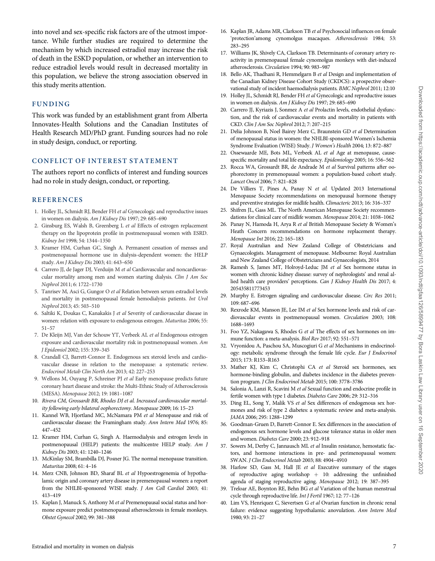<span id="page-6-0"></span>into novel and sex-specific risk factors are of the utmost importance. While further studies are required to determine the mechanism by which increased estradiol may increase the risk of death in the ESKD population, or whether an intervention to reduce estradiol levels would result in decreased mortality in this population, we believe the strong association observed in this study merits attention.

# FUNDING

This work was funded by an establishment grant from Alberta Innovates-Health Solutions and the Canadian Institutes of Health Research MD/PhD grant. Funding sources had no role in study design, conduct, or reporting.

#### CONFLICT OF INTEREST STATEMENT

The authors report no conflicts of interest and funding sources had no role in study design, conduct, or reporting.

#### **REFERENCES**

- [1](#page-5-0). Holley JL, Schmidt RJ, Bender FH et al Gynecologic and reproductive issues in women on dialysis. Am J Kidney Dis 1997; 29: 685–690
- 2. Ginsburg ES, Walsh B, Greenberg L et al Effects of estrogen replacement therapy on the lipoprotein profile in postmenopausal women with ESRD. Kidney Int 1998; 54: 1344–1350
- 3. Kramer HM, Curhan GC, Singh A. Permanent cessation of menses and postmenopausal hormone use in dialysis-dependent women: the HELP study. Am J Kidney Dis 2003; 41: 643–650
- [4](#page-0-0). Carrero JJ, de Jager DJ, Verduijn M et al Cardiovascular and noncardiovascular mortality among men and women starting dialysis. Clin J Am Soc Nephrol 2011; 6: 1722–1730
- [5](#page-3-0). Tanrisev M, Asci G, Gungor O et al Relation between serum estradiol levels and mortality in postmenopausal female hemodialysis patients. Int Urol Nephrol 2013; 45: 503–510
- 6. Saltiki K, Doukas C, Kanakakis J et al Severity of cardiovascular disease in women: relation with exposure to endogenous estrogen. Maturitas 2006; 55: 51–57
- 7. De Kleijn MJ, Van der Schouw YT, Verbeek AL et al Endogenous estrogen exposure and cardiovascular mortality risk in postmenopausal women. Am J Epidemiol 2002; 155: 339–345
- 8. Crandall CJ, Barrett-Connor E. Endogenous sex steroid levels and cardiovascular disease in relation to the menopause: a systematic review. Endocrinol Metab Clin North Am 2013; 42: 227–253
- 9. Wellons M, Ouyang P, Schreiner PJ et al Early menopause predicts future coronary heart disease and stroke: the Multi-Ethnic Study of Atherosclerosis (MESA). Menopause 2012; 19: 1081–1087
- 10. Rivera CM, Grossardt BR, Rhodes DJ et al. Increased cardiovascular mortality following early bilateral oophorectomy. Menopause 2009; 16: 15–23
- 11. Kannel WB, Hjortland MC, McNamara PM et al Menopause and risk of cardiovascular disease: the Framingham study. Ann Intern Med 1976; 85: 447–452
- [12](#page-0-0). Kramer HM, Curhan G, Singh A. Haemodialysis and estrogen levels in postmenopausal (HELP) patients: the multicentre HELP study. Am J Kidney Dis 2003; 41: 1240–1246
- [13](#page-0-0). McKinlay SM, Brambilla DJ, Posner JG. The normal menopause transition. Maturitas 2008; 61: 4–16
- [14](#page-0-0). Merz CNB, Johnson BD, Sharaf BL et al Hypoestrogenemia of hypothalamic origin and coronary artery disease in premenopausal women: a report from the NHLBI-sponsored WISE study. J Am Coll Cardiol 2003; 41: 413–419
- 15. Kaplan J, Manuck S, Anthony M et al Premenopausal social status and hormone exposure predict postmenopausal atherosclerosis in female monkeys. Obstet Gynecol 2002; 99: 381–388
- 16. Kaplan JR, Adams MR, Clarkson TB et al Psychosocial influences on female 'protection'among cynomolgus macaques. Atherosclerosis 1984; 53: 283–295
- 17. Williams JK, Shively CA, Clarkson TB. Determinants of coronary artery reactivity in premenopausal female cynomolgus monkeys with diet-induced atherosclerosis. Circulation 1994; 90: 983–987
- [18.](#page-0-0) Bello AK, Thadhani R, Hemmelgarn B et al Design and implementation of the Canadian Kidney Disease Cohort Study (CKDCS): a prospective observational study of incident haemodialysis patients. BMC Nephrol 2011; 12:10
- [19.](#page-1-0) Holley JL, Schmidt RJ, Bender FH et al Gynecologic and reproductive issues in women on dialysis. Am J Kidney Dis 1997; 29: 685–690
- [20.](#page-1-0) Carrero JJ, Kyriazis J, Sonmez A et al Prolactin levels, endothelial dysfunction, and the risk of cardiovascular events and mortality in patients with CKD. Clin J Am Soc Nephrol 2012; 7: 207–215
- [21.](#page-2-0) Delia Johnson B, Noel Bairey Merz C, Braunstein GD et al Determination of menopausal status in women: the NHLBI-sponsored Women's Ischemia Syndrome Evaluation (WISE) Study. J Women's Health 2004; 13: 872–887
- [22.](#page-3-0) Ossewaarde ME, Bots ML, Verbeek AL et al Age at menopause, causespecific mortality and total life expectancy. Epidemiology 2005; 16: 556-562
- [23.](#page-3-0) Rocca WA, Grossardt BR, de Andrade M et al Survival patterns after oophorectomy in premenopausal women: a population-based cohort study. Lancet Oncol 2006; 7: 821–828
- 24. De Villiers T, Pines A, Panay N et al. Updated 2013 International Menopause Society recommendations on menopausal hormone therapy and preventive strategies for midlife health. Climacteric 2013; 16: 316–337
- 25. Shifren JL, Gass ML. The North American Menopause Society recommendations for clinical care of midlife women. Menopause 2014; 21: 1038–1062
- 26. Panay N, Hamoda H, Arya R et al British Menopause Society & Women's Heath Concern recommendations on hormone replacement therapy. Menopause Int 2016; 22: 165–183
- 27. Royal Australian and New Zealand College of Obstetricians and Gynaecologists. Management of menopause. Melbourne: Royal Australian and New Zealand College of Obstetricians and Gynaecologists, 2014
- [28.](#page-3-0) Ramesh S, James MT, Holroyd-Leduc JM et al Sex hormone status in women with chronic kidney disease: survey of nephrologists' and renal allied health care providers' perceptions. Can J Kidney Health Dis 2017; 4: 205435811773453
- [29.](#page-3-0) Murphy E. Estrogen signaling and cardiovascular disease. Circ Res 2011; 109: 687–696
- [30.](#page-3-0) Rexrode KM, Manson JE, Lee IM et al Sex hormone levels and risk of cardiovascular events in postmenopausal women. Circulation 2003; 108: 1688–1693
- [31.](#page-3-0) Foo YZ, Nakagawa S, Rhodes G et al The effects of sex hormones on immune function: a meta-analysis. Biol Rev 2017; 92: 551–571
- [32.](#page-4-0) Vryonidou A, Paschou SA, Muscogiuri G et al Mechanisms in endocrinology: metabolic syndrome through the female life cycle. Eur J Endocrinol 2015; 173: R153–R163
- [33.](#page-4-0) Mather KJ, Kim C, Christophi CA et al Steroid sex hormones, sex hormone-binding globulin, and diabetes incidence in the diabetes prevention program. J Clin Endocrinol Metab 2015; 100: 3778–3786
- [34.](#page-4-0) Salonia A, Lanzi R, Scavini M et al Sexual function and endocrine profile in fertile women with type 1 diabetes. Diabetes Care 2006; 29: 312–316
- [35.](#page-4-0) Ding EL, Song Y, Malik VS et al Sex differences of endogenous sex hormones and risk of type 2 diabetes: a systematic review and meta-analysis. JAMA 2006; 295: 1288–1299
- [36.](#page-4-0) Goodman-Gruen D, Barrett-Connor E. Sex differences in the association of endogenous sex hormone levels and glucose tolerance status in older men and women. Diabetes Care 2000; 23: 912–918
- [37.](#page-4-0) Sowers M, Derby C, Jannausch ML et al Insulin resistance, hemostatic factors, and hormone interactions in pre- and perimenopausal women: SWAN. J Clin Endocrinol Metab 2003; 88: 4904–4910
- [38.](#page-5-0) Harlow SD, Gass M, Hall JE et al Executive summary of the stages of reproductive aging workshop  $+$  10: addressing the unfinished agenda of staging reproductive aging. Menopause 2012; 19: 387–395
- [39.](#page-5-0) Treloar AE, Boynton RE, Behn BG et al Variation of the human menstrual cycle through reproductive life. Int J Fertil 1967; 12: 77–126
- [40.](#page-5-0) Lim VS, Henriquez C, Sievertsen G et al Ovarian function in chronic renal failure: evidence suggesting hypothalamic anovulation. Ann Intern Med 1980; 93: 21–27